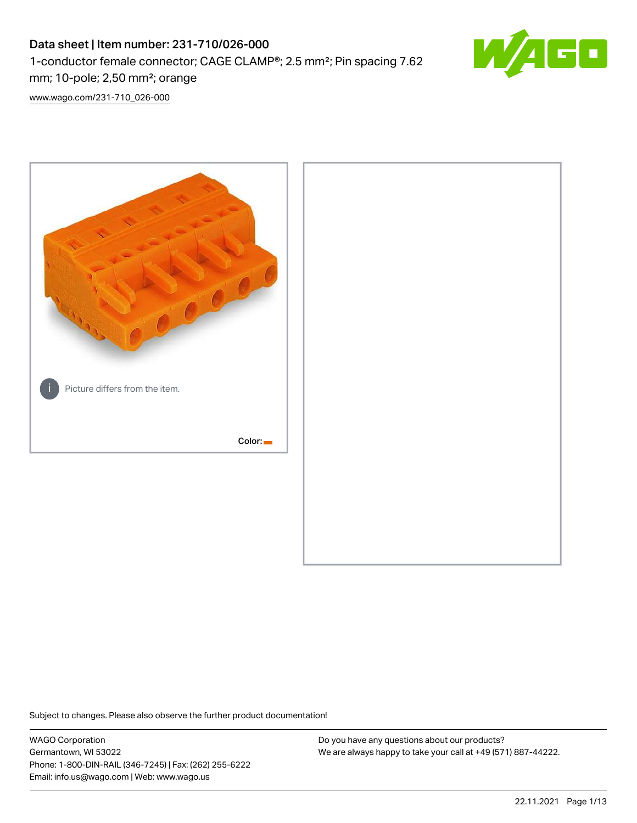# Data sheet | Item number: 231-710/026-000 1-conductor female connector; CAGE CLAMP®; 2.5 mm²; Pin spacing 7.62 mm; 10-pole; 2,50 mm²; orange



[www.wago.com/231-710\\_026-000](http://www.wago.com/231-710_026-000)



Subject to changes. Please also observe the further product documentation!

WAGO Corporation Germantown, WI 53022 Phone: 1-800-DIN-RAIL (346-7245) | Fax: (262) 255-6222 Email: info.us@wago.com | Web: www.wago.us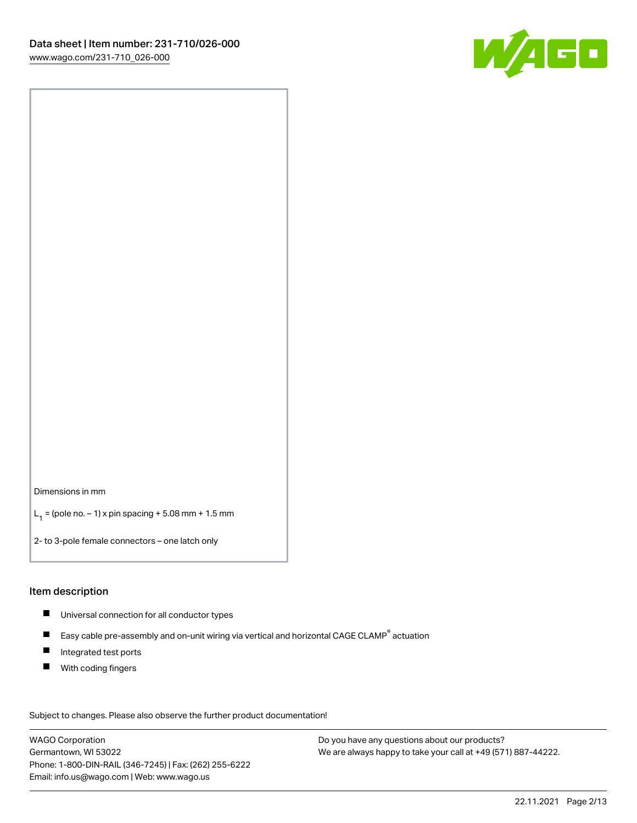

Dimensions in mm

 $L_1 =$  (pole no.  $-1$ ) x pin spacing + 5.08 mm + 1.5 mm

2- to 3-pole female connectors – one latch only

#### Item description

- Universal connection for all conductor types
- $\blacksquare$ Easy cable pre-assembly and on-unit wiring via vertical and horizontal CAGE CLAMP<sup>®</sup> actuation
- $\blacksquare$ Integrated test ports
- $\blacksquare$ With coding fingers

Subject to changes. Please also observe the further product documentation! Data

WAGO Corporation Germantown, WI 53022 Phone: 1-800-DIN-RAIL (346-7245) | Fax: (262) 255-6222 Email: info.us@wago.com | Web: www.wago.us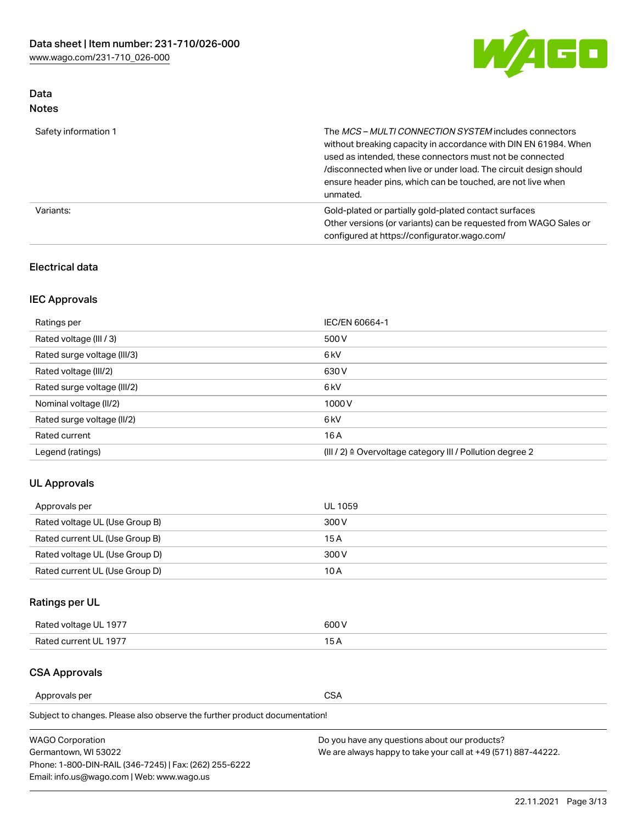

### Data Notes

| Safety information 1 | The MCS-MULTI CONNECTION SYSTEM includes connectors<br>without breaking capacity in accordance with DIN EN 61984. When<br>used as intended, these connectors must not be connected<br>/disconnected when live or under load. The circuit design should<br>ensure header pins, which can be touched, are not live when<br>unmated. |
|----------------------|-----------------------------------------------------------------------------------------------------------------------------------------------------------------------------------------------------------------------------------------------------------------------------------------------------------------------------------|
| Variants:            | Gold-plated or partially gold-plated contact surfaces<br>Other versions (or variants) can be requested from WAGO Sales or<br>configured at https://configurator.wago.com/                                                                                                                                                         |

### Electrical data

### IEC Approvals

| Ratings per                 | IEC/EN 60664-1                                                        |
|-----------------------------|-----------------------------------------------------------------------|
| Rated voltage (III / 3)     | 500 V                                                                 |
| Rated surge voltage (III/3) | 6 <sub>kV</sub>                                                       |
| Rated voltage (III/2)       | 630 V                                                                 |
| Rated surge voltage (III/2) | 6 <sub>k</sub> V                                                      |
| Nominal voltage (II/2)      | 1000V                                                                 |
| Rated surge voltage (II/2)  | 6 <sub>kV</sub>                                                       |
| Rated current               | 16A                                                                   |
| Legend (ratings)            | $(III / 2)$ $\triangle$ Overvoltage category III / Pollution degree 2 |

### UL Approvals

| Approvals per                  | UL 1059 |
|--------------------------------|---------|
| Rated voltage UL (Use Group B) | 300 V   |
| Rated current UL (Use Group B) | 15 A    |
| Rated voltage UL (Use Group D) | 300 V   |
| Rated current UL (Use Group D) | 10 A    |

# Ratings per UL

| Rated voltage UL 1977 | 300 V |
|-----------------------|-------|
| Rated current UL 1977 |       |

### CSA Approvals

Approvals per CSA

Subject to changes. Please also observe the further product documentation!

| <b>WAGO Corporation</b>                                | Do you have any questions about our products?                 |
|--------------------------------------------------------|---------------------------------------------------------------|
| Germantown, WI 53022                                   | We are always happy to take your call at +49 (571) 887-44222. |
| Phone: 1-800-DIN-RAIL (346-7245)   Fax: (262) 255-6222 |                                                               |
| Email: info.us@wago.com   Web: www.wago.us             |                                                               |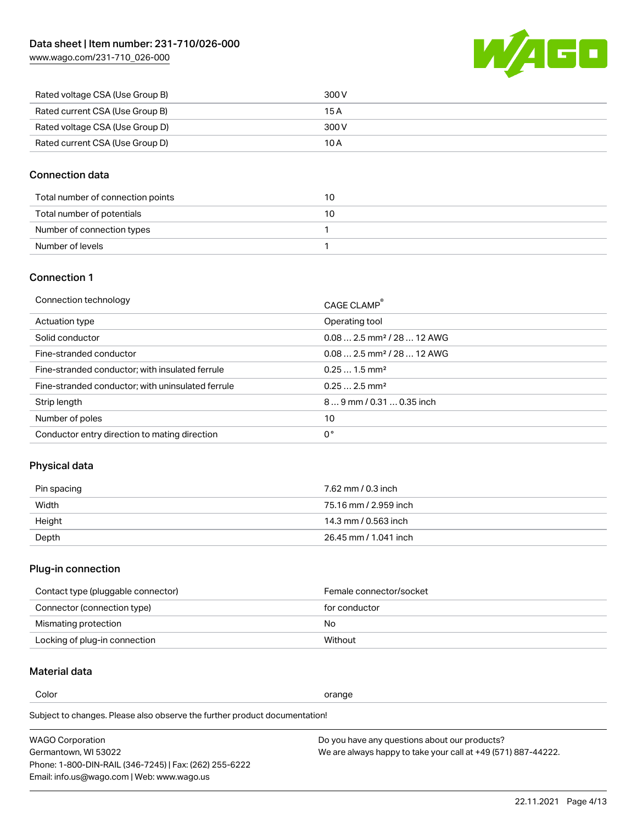[www.wago.com/231-710\\_026-000](http://www.wago.com/231-710_026-000)



| Rated voltage CSA (Use Group B) | 300 V |
|---------------------------------|-------|
| Rated current CSA (Use Group B) | 15 A  |
| Rated voltage CSA (Use Group D) | 300 V |
| Rated current CSA (Use Group D) | 10 A  |

### Connection data

| Total number of connection points | 10 |
|-----------------------------------|----|
| Total number of potentials        | 10 |
| Number of connection types        |    |
| Number of levels                  |    |

#### Connection 1

| Connection technology                             | CAGE CLAMP®                             |
|---------------------------------------------------|-----------------------------------------|
| Actuation type                                    | Operating tool                          |
| Solid conductor                                   | $0.08$ 2.5 mm <sup>2</sup> / 28  12 AWG |
| Fine-stranded conductor                           | $0.082.5$ mm <sup>2</sup> / 28  12 AWG  |
| Fine-stranded conductor; with insulated ferrule   | $0.251.5$ mm <sup>2</sup>               |
| Fine-stranded conductor; with uninsulated ferrule | $0.252.5$ mm <sup>2</sup>               |
| Strip length                                      | $89$ mm / 0.31  0.35 inch               |
| Number of poles                                   | 10                                      |
| Conductor entry direction to mating direction     | 0°                                      |
|                                                   |                                         |

### Physical data

| Pin spacing | 7.62 mm / 0.3 inch    |
|-------------|-----------------------|
| Width       | 75.16 mm / 2.959 inch |
| Height      | 14.3 mm / 0.563 inch  |
| Depth       | 26.45 mm / 1.041 inch |

# Plug-in connection

| Contact type (pluggable connector) | Female connector/socket |
|------------------------------------|-------------------------|
| Connector (connection type)        | for conductor           |
| Mismating protection               | No                      |
| Locking of plug-in connection      | Without                 |

### Material data

Color contracts and contracts of the contracts of the contracts of the contracts of the contracts of the contracts of the contracts of the contracts of the contracts of the contracts of the contracts of the contracts of th

Subject to changes. Please also observe the further product documentation! Material group I

| <b>WAGO Corporation</b>                                | Do you have any questions about our products?                 |
|--------------------------------------------------------|---------------------------------------------------------------|
| Germantown, WI 53022                                   | We are always happy to take your call at +49 (571) 887-44222. |
| Phone: 1-800-DIN-RAIL (346-7245)   Fax: (262) 255-6222 |                                                               |
| Email: info.us@wago.com   Web: www.wago.us             |                                                               |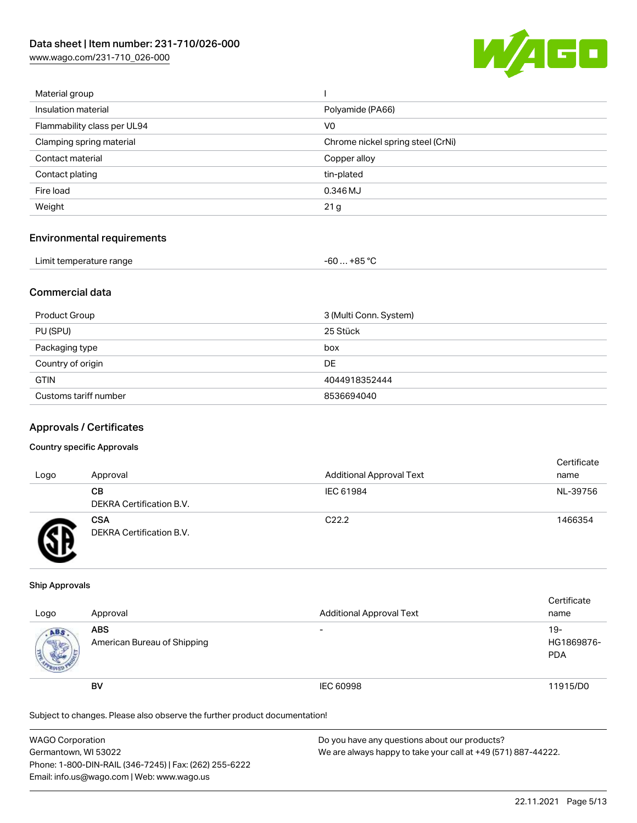[www.wago.com/231-710\\_026-000](http://www.wago.com/231-710_026-000)



| Material group              |                                   |
|-----------------------------|-----------------------------------|
| Insulation material         | Polyamide (PA66)                  |
| Flammability class per UL94 | V <sub>0</sub>                    |
| Clamping spring material    | Chrome nickel spring steel (CrNi) |
| Contact material            | Copper alloy                      |
| Contact plating             | tin-plated                        |
| Fire load                   | 0.346 MJ                          |
| Weight                      | 21 <sub>g</sub>                   |
|                             |                                   |

### Environmental requirements

| Limit temperature range | -60 … +85 ℃ |
|-------------------------|-------------|
|-------------------------|-------------|

### Commercial data

| Product Group         | 3 (Multi Conn. System) |
|-----------------------|------------------------|
| PU (SPU)              | 25 Stück               |
| Packaging type        | box                    |
| Country of origin     | DE                     |
| <b>GTIN</b>           | 4044918352444          |
| Customs tariff number | 8536694040             |

#### Approvals / Certificates

#### Country specific Approvals

| Logo | Approval                               | <b>Additional Approval Text</b> | Certificate<br>name |
|------|----------------------------------------|---------------------------------|---------------------|
|      | CВ<br><b>DEKRA Certification B.V.</b>  | IEC 61984                       | NL-39756            |
|      | <b>CSA</b><br>DEKRA Certification B.V. | C <sub>22.2</sub>               | 1466354             |

#### Ship Approvals

| Logo | Approval                                  | <b>Additional Approval Text</b> | Certificate<br>name               |
|------|-------------------------------------------|---------------------------------|-----------------------------------|
| ABS  | <b>ABS</b><br>American Bureau of Shipping | $\overline{\phantom{0}}$        | $19-$<br>HG1869876-<br><b>PDA</b> |
|      | BV                                        | IEC 60998                       | 11915/D0                          |

Subject to changes. Please also observe the further product documentation!

| WAGO Corporation                                       | Do you have any questions about our products?                 |
|--------------------------------------------------------|---------------------------------------------------------------|
| Germantown, WI 53022                                   | We are always happy to take your call at +49 (571) 887-44222. |
| Phone: 1-800-DIN-RAIL (346-7245)   Fax: (262) 255-6222 |                                                               |
| Email: info.us@wago.com   Web: www.wago.us             |                                                               |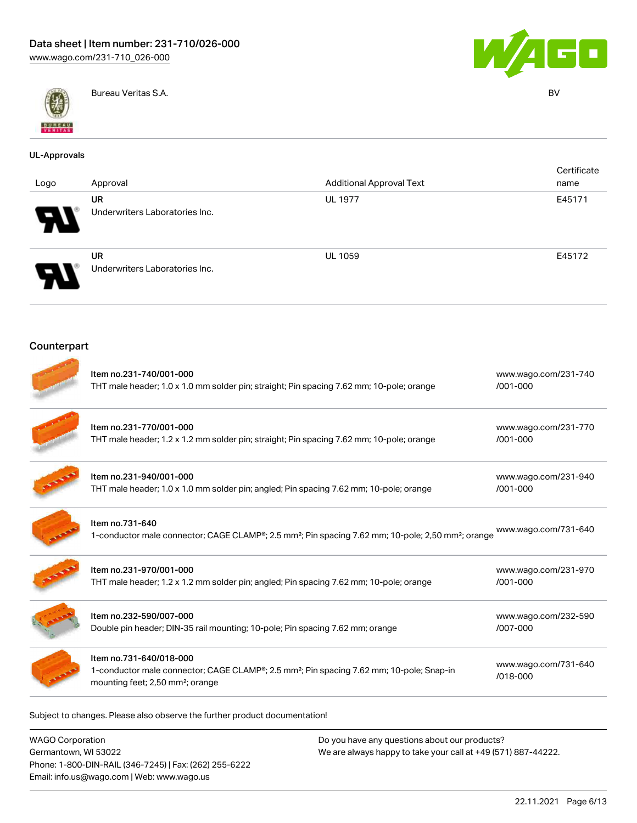



Bureau Veritas S.A. BV

| <b>UL-Approvals</b> |                                                                                                                                                                                 |                                 |                                  |                     |
|---------------------|---------------------------------------------------------------------------------------------------------------------------------------------------------------------------------|---------------------------------|----------------------------------|---------------------|
| Logo                | Approval                                                                                                                                                                        | <b>Additional Approval Text</b> |                                  | Certificate<br>name |
|                     | UR<br>Underwriters Laboratories Inc.                                                                                                                                            | <b>UL 1977</b>                  |                                  | E45171              |
|                     | <b>UR</b><br>Underwriters Laboratories Inc.                                                                                                                                     | <b>UL 1059</b>                  |                                  | E45172              |
| Counterpart         |                                                                                                                                                                                 |                                 |                                  |                     |
|                     | Item no.231-740/001-000<br>THT male header; 1.0 x 1.0 mm solder pin; straight; Pin spacing 7.62 mm; 10-pole; orange                                                             |                                 | www.wago.com/231-740<br>/001-000 |                     |
|                     | Item no.231-770/001-000<br>THT male header; 1.2 x 1.2 mm solder pin; straight; Pin spacing 7.62 mm; 10-pole; orange                                                             |                                 | www.wago.com/231-770<br>/001-000 |                     |
|                     | Item no.231-940/001-000<br>THT male header; 1.0 x 1.0 mm solder pin; angled; Pin spacing 7.62 mm; 10-pole; orange                                                               |                                 | www.wago.com/231-940<br>/001-000 |                     |
|                     | Item no.731-640<br>1-conductor male connector; CAGE CLAMP®; 2.5 mm <sup>2</sup> ; Pin spacing 7.62 mm; 10-pole; 2,50 mm <sup>2</sup> ; orange                                   |                                 | www.wago.com/731-640             |                     |
|                     | Item no.231-970/001-000<br>THT male header; 1.2 x 1.2 mm solder pin; angled; Pin spacing 7.62 mm; 10-pole; orange                                                               |                                 | www.wago.com/231-970<br>/001-000 |                     |
|                     | Item no.232-590/007-000<br>Double pin header; DIN-35 rail mounting; 10-pole; Pin spacing 7.62 mm; orange                                                                        |                                 | www.wago.com/232-590<br>/007-000 |                     |
|                     | Item no.731-640/018-000<br>1-conductor male connector; CAGE CLAMP®; 2.5 mm <sup>2</sup> ; Pin spacing 7.62 mm; 10-pole; Snap-in<br>mounting feet; 2,50 mm <sup>2</sup> ; orange |                                 | www.wago.com/731-640<br>/018-000 |                     |

Subject to changes. Please also observe the further product documentation!

WAGO Corporation Germantown, WI 53022 Phone: 1-800-DIN-RAIL (346-7245) | Fax: (262) 255-6222 Email: info.us@wago.com | Web: www.wago.us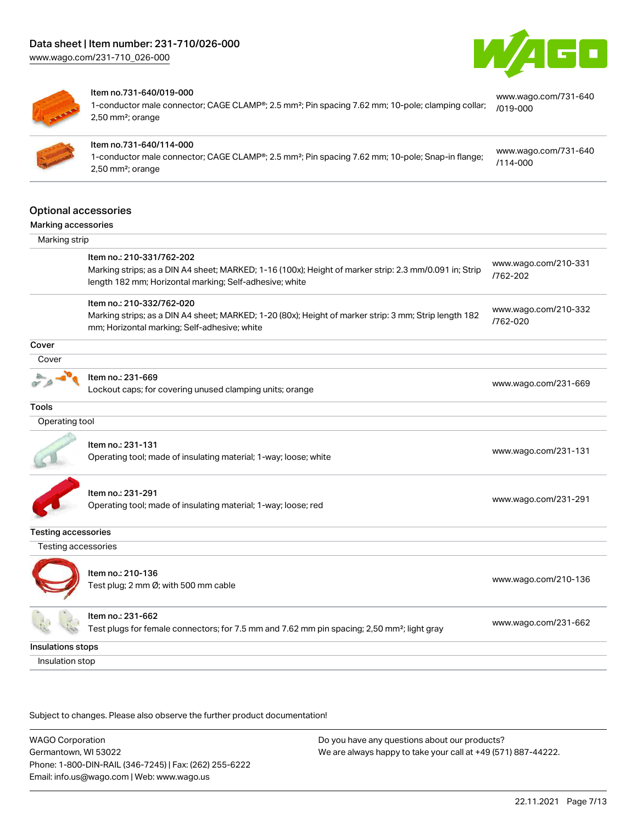



#### Item no.731-640/019-000

1-conductor male connector; CAGE CLAMP®; 2.5 mm²; Pin spacing 7.62 mm; 10-pole; clamping collar; 2,50 mm²; orange [www.wago.com/731-640](https://www.wago.com/731-640/019-000) [/019-000](https://www.wago.com/731-640/019-000)



#### Item no.731-640/114-000

1-conductor male connector; CAGE CLAMP®; 2.5 mm²; Pin spacing 7.62 mm; 10-pole; Snap-in flange; 2,50 mm²; orange [www.wago.com/731-640](https://www.wago.com/731-640/114-000) [/114-000](https://www.wago.com/731-640/114-000)

#### Optional accessories

#### Marking accessories

| Marking strip  |                                                                                                                                                                                                |                                  |  |
|----------------|------------------------------------------------------------------------------------------------------------------------------------------------------------------------------------------------|----------------------------------|--|
|                | Item no.: 210-331/762-202<br>Marking strips; as a DIN A4 sheet; MARKED; 1-16 (100x); Height of marker strip: 2.3 mm/0.091 in; Strip<br>length 182 mm; Horizontal marking; Self-adhesive; white | www.wago.com/210-331<br>/762-202 |  |
|                | Item no.: 210-332/762-020<br>Marking strips; as a DIN A4 sheet; MARKED; 1-20 (80x); Height of marker strip: 3 mm; Strip length 182<br>mm; Horizontal marking; Self-adhesive; white             | www.wago.com/210-332<br>/762-020 |  |
| Cover          |                                                                                                                                                                                                |                                  |  |
| Cover          |                                                                                                                                                                                                |                                  |  |
|                | Item no.: 231-669<br>Lockout caps; for covering unused clamping units; orange                                                                                                                  | www.wago.com/231-669             |  |
| Tools          |                                                                                                                                                                                                |                                  |  |
| Operating tool |                                                                                                                                                                                                |                                  |  |
|                | Item no.: 231-131                                                                                                                                                                              |                                  |  |

Next to the set of the control of the control of the control of the [www.wago.com/231-131](http://www.wago.com/231-131).<br>Operating tool; made of insulating material; 1-way; loose; white



Item no.: 231-291

Operating tool; made of insulating material; 1-way; loose; red [www.wago.com/231-291](http://www.wago.com/231-291)

#### Testing accessories

Testing accessories



Item no.: 210-136

ntem no... 210 100<br>Test plug; 2 mm Ø; with 500 mm cable [www.wago.com/210-136](http://www.wago.com/210-136)

# Item no.: 231-662

Test plugs for female connectors; for 7.5 mm and 7.62 mm pin spacing; 2,50 mm²; light gray [www.wago.com/231-662](http://www.wago.com/231-662)

Insulations stops Insulation stop

Subject to changes. Please also observe the further product documentation!

WAGO Corporation Germantown, WI 53022 Phone: 1-800-DIN-RAIL (346-7245) | Fax: (262) 255-6222 Email: info.us@wago.com | Web: www.wago.us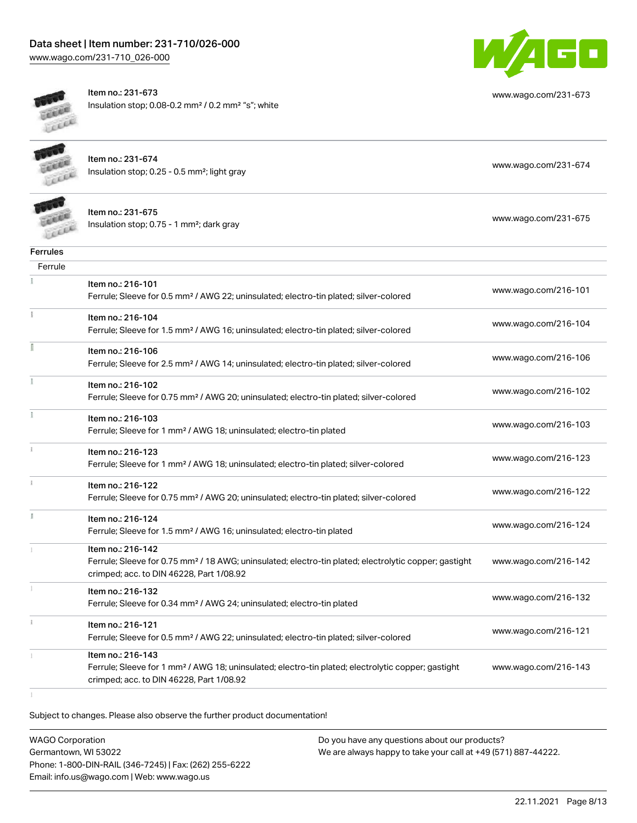

[www.wago.com/231-673](http://www.wago.com/231-673)



Item no.: 231-673 Insulation stop; 0.08-0.2 mm² / 0.2 mm² "s"; white

|          | Item no.: 231-674<br>Insulation stop; 0.25 - 0.5 mm <sup>2</sup> ; light gray                                                                                                      | www.wago.com/231-674 |
|----------|------------------------------------------------------------------------------------------------------------------------------------------------------------------------------------|----------------------|
|          | Item no.: 231-675<br>Insulation stop; 0.75 - 1 mm <sup>2</sup> ; dark gray                                                                                                         | www.wago.com/231-675 |
| Ferrules |                                                                                                                                                                                    |                      |
| Ferrule  |                                                                                                                                                                                    |                      |
|          | Item no.: 216-101<br>Ferrule; Sleeve for 0.5 mm <sup>2</sup> / AWG 22; uninsulated; electro-tin plated; silver-colored                                                             | www.wago.com/216-101 |
|          | Item no.: 216-104<br>Ferrule; Sleeve for 1.5 mm <sup>2</sup> / AWG 16; uninsulated; electro-tin plated; silver-colored                                                             | www.wago.com/216-104 |
|          | Item no.: 216-106<br>Ferrule; Sleeve for 2.5 mm <sup>2</sup> / AWG 14; uninsulated; electro-tin plated; silver-colored                                                             | www.wago.com/216-106 |
|          | Item no.: 216-102<br>Ferrule; Sleeve for 0.75 mm <sup>2</sup> / AWG 20; uninsulated; electro-tin plated; silver-colored                                                            | www.wago.com/216-102 |
|          | Item no.: 216-103<br>Ferrule; Sleeve for 1 mm <sup>2</sup> / AWG 18; uninsulated; electro-tin plated                                                                               | www.wago.com/216-103 |
|          | Item no.: 216-123<br>Ferrule; Sleeve for 1 mm <sup>2</sup> / AWG 18; uninsulated; electro-tin plated; silver-colored                                                               | www.wago.com/216-123 |
|          | Item no.: 216-122<br>Ferrule; Sleeve for 0.75 mm <sup>2</sup> / AWG 20; uninsulated; electro-tin plated; silver-colored                                                            | www.wago.com/216-122 |
|          | Item no.: 216-124<br>Ferrule; Sleeve for 1.5 mm <sup>2</sup> / AWG 16; uninsulated; electro-tin plated                                                                             | www.wago.com/216-124 |
|          | Item no.: 216-142<br>Ferrule; Sleeve for 0.75 mm <sup>2</sup> / 18 AWG; uninsulated; electro-tin plated; electrolytic copper; gastight<br>crimped; acc. to DIN 46228, Part 1/08.92 | www.wago.com/216-142 |
|          | Item no.: 216-132<br>Ferrule; Sleeve for 0.34 mm <sup>2</sup> / AWG 24; uninsulated; electro-tin plated                                                                            | www.wago.com/216-132 |
|          | Item no.: 216-121<br>Ferrule; Sleeve for 0.5 mm <sup>2</sup> / AWG 22; uninsulated; electro-tin plated; silver-colored                                                             | www.wago.com/216-121 |
|          | Item no.: 216-143<br>Ferrule; Sleeve for 1 mm <sup>2</sup> / AWG 18; uninsulated; electro-tin plated; electrolytic copper; gastight<br>crimped; acc. to DIN 46228, Part 1/08.92    | www.wago.com/216-143 |

Subject to changes. Please also observe the further product documentation!

WAGO Corporation Germantown, WI 53022 Phone: 1-800-DIN-RAIL (346-7245) | Fax: (262) 255-6222 Email: info.us@wago.com | Web: www.wago.us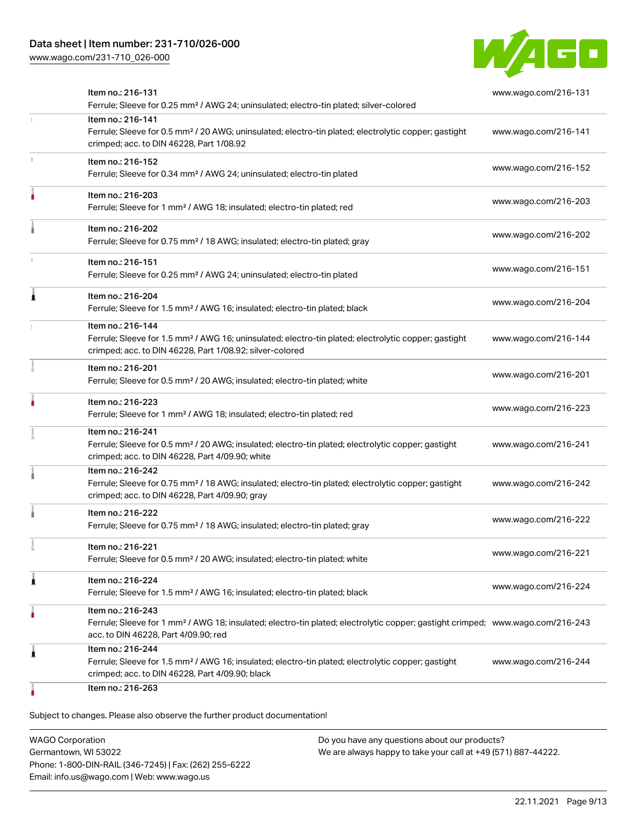[www.wago.com/231-710\\_026-000](http://www.wago.com/231-710_026-000)



| Item no.: 216-131<br>Ferrule; Sleeve for 0.25 mm <sup>2</sup> / AWG 24; uninsulated; electro-tin plated; silver-colored                                                                                 | www.wago.com/216-131 |
|---------------------------------------------------------------------------------------------------------------------------------------------------------------------------------------------------------|----------------------|
| Item no.: 216-141<br>Ferrule; Sleeve for 0.5 mm <sup>2</sup> / 20 AWG; uninsulated; electro-tin plated; electrolytic copper; gastight<br>crimped; acc. to DIN 46228, Part 1/08.92                       | www.wago.com/216-141 |
| Item no.: 216-152<br>Ferrule; Sleeve for 0.34 mm <sup>2</sup> / AWG 24; uninsulated; electro-tin plated                                                                                                 | www.wago.com/216-152 |
| Item no.: 216-203<br>Ferrule; Sleeve for 1 mm <sup>2</sup> / AWG 18; insulated; electro-tin plated; red                                                                                                 | www.wago.com/216-203 |
| Item no.: 216-202<br>Ferrule; Sleeve for 0.75 mm <sup>2</sup> / 18 AWG; insulated; electro-tin plated; gray                                                                                             | www.wago.com/216-202 |
| Item no.: 216-151<br>Ferrule; Sleeve for 0.25 mm <sup>2</sup> / AWG 24; uninsulated; electro-tin plated                                                                                                 | www.wago.com/216-151 |
| Item no.: 216-204<br>Ferrule; Sleeve for 1.5 mm <sup>2</sup> / AWG 16; insulated; electro-tin plated; black                                                                                             | www.wago.com/216-204 |
| Item no.: 216-144<br>Ferrule; Sleeve for 1.5 mm <sup>2</sup> / AWG 16; uninsulated; electro-tin plated; electrolytic copper; gastight<br>crimped; acc. to DIN 46228, Part 1/08.92; silver-colored       | www.wago.com/216-144 |
| Item no.: 216-201<br>Ferrule; Sleeve for 0.5 mm <sup>2</sup> / 20 AWG; insulated; electro-tin plated; white                                                                                             | www.wago.com/216-201 |
| Item no.: 216-223<br>Ferrule; Sleeve for 1 mm <sup>2</sup> / AWG 18; insulated; electro-tin plated; red                                                                                                 | www.wago.com/216-223 |
| Item no.: 216-241<br>Ferrule; Sleeve for 0.5 mm <sup>2</sup> / 20 AWG; insulated; electro-tin plated; electrolytic copper; gastight<br>crimped; acc. to DIN 46228, Part 4/09.90; white                  | www.wago.com/216-241 |
| Item no.: 216-242<br>Ferrule; Sleeve for 0.75 mm <sup>2</sup> / 18 AWG; insulated; electro-tin plated; electrolytic copper; gastight<br>crimped; acc. to DIN 46228, Part 4/09.90; gray                  | www.wago.com/216-242 |
| Item no.: 216-222<br>Ferrule; Sleeve for 0.75 mm <sup>2</sup> / 18 AWG; insulated; electro-tin plated; gray                                                                                             | www.wago.com/216-222 |
| Item no.: 216-221<br>Ferrule; Sleeve for 0.5 mm <sup>2</sup> / 20 AWG; insulated; electro-tin plated; white                                                                                             | www.wago.com/216-221 |
| Item no.: 216-224<br>Ferrule; Sleeve for 1.5 mm <sup>2</sup> / AWG 16; insulated; electro-tin plated; black                                                                                             | www.wago.com/216-224 |
| Item no.: 216-243<br>Ferrule; Sleeve for 1 mm <sup>2</sup> / AWG 18; insulated; electro-tin plated; electrolytic copper; gastight crimped; www.wago.com/216-243<br>acc. to DIN 46228, Part 4/09.90; red |                      |
| Item no.: 216-244<br>Ferrule; Sleeve for 1.5 mm <sup>2</sup> / AWG 16; insulated; electro-tin plated; electrolytic copper; gastight<br>crimped; acc. to DIN 46228, Part 4/09.90; black                  | www.wago.com/216-244 |
| Item no.: 216-263                                                                                                                                                                                       |                      |

WAGO Corporation Germantown, WI 53022 Phone: 1-800-DIN-RAIL (346-7245) | Fax: (262) 255-6222 Email: info.us@wago.com | Web: www.wago.us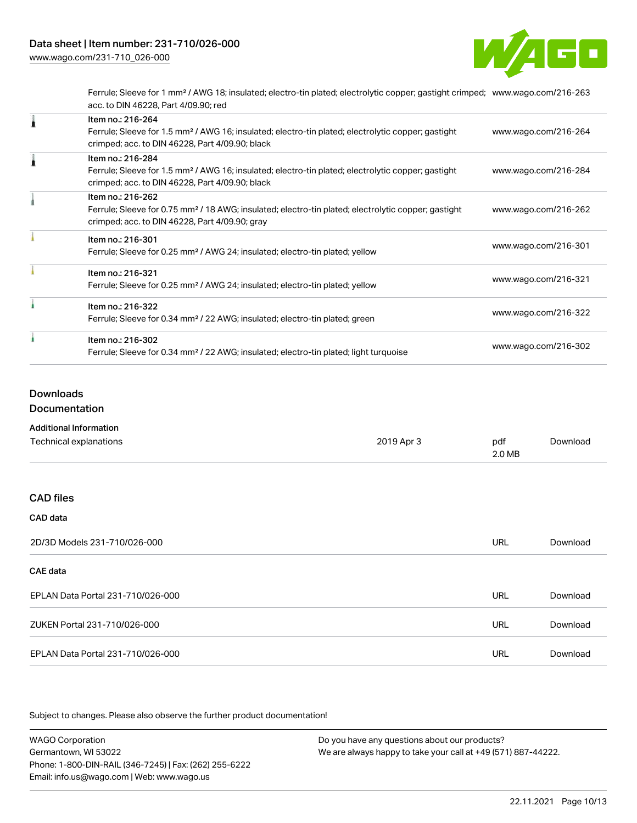

Ferrule; Sleeve for 1 mm² / AWG 18; insulated; electro-tin plated; electrolytic copper; gastight crimped; [www.wago.com/216-263](http://www.wago.com/216-263) acc. to DIN 46228, Part 4/09.90; red

| Item no.: 216-264<br>Ferrule; Sleeve for 1.5 mm <sup>2</sup> / AWG 16; insulated; electro-tin plated; electrolytic copper; gastight<br>crimped; acc. to DIN 46228, Part 4/09.90; black | www.wago.com/216-264 |
|----------------------------------------------------------------------------------------------------------------------------------------------------------------------------------------|----------------------|
| Item no.: 216-284<br>Ferrule; Sleeve for 1.5 mm <sup>2</sup> / AWG 16; insulated; electro-tin plated; electrolytic copper; gastight<br>crimped; acc. to DIN 46228, Part 4/09.90; black | www.wago.com/216-284 |
| Item no.: 216-262<br>Ferrule; Sleeve for 0.75 mm <sup>2</sup> / 18 AWG; insulated; electro-tin plated; electrolytic copper; gastight<br>crimped; acc. to DIN 46228, Part 4/09.90; gray | www.wago.com/216-262 |
| Item no.: 216-301<br>Ferrule; Sleeve for 0.25 mm <sup>2</sup> / AWG 24; insulated; electro-tin plated; yellow                                                                          | www.wago.com/216-301 |
| Item no.: 216-321<br>Ferrule; Sleeve for 0.25 mm <sup>2</sup> / AWG 24; insulated; electro-tin plated; yellow                                                                          | www.wago.com/216-321 |
| Item no.: 216-322<br>Ferrule; Sleeve for 0.34 mm <sup>2</sup> / 22 AWG; insulated; electro-tin plated; green                                                                           | www.wago.com/216-322 |
| Item no.: 216-302<br>Ferrule; Sleeve for 0.34 mm <sup>2</sup> / 22 AWG; insulated; electro-tin plated; light turquoise                                                                 | www.wago.com/216-302 |

#### Downloads

Documentation

| <b>Additional Information</b>     |            |               |          |
|-----------------------------------|------------|---------------|----------|
| Technical explanations            | 2019 Apr 3 | pdf<br>2.0 MB | Download |
| <b>CAD files</b>                  |            |               |          |
| CAD data                          |            |               |          |
| 2D/3D Models 231-710/026-000      |            | <b>URL</b>    | Download |
| CAE data                          |            |               |          |
| EPLAN Data Portal 231-710/026-000 |            | <b>URL</b>    | Download |
| ZUKEN Portal 231-710/026-000      |            | <b>URL</b>    | Download |

EPLAN Data Portal 231-710/026-000 URL [Download](https://www.wago.com/global/d/EPLAN_URLS_231-710_026-000)

Subject to changes. Please also observe the further product documentation!

WAGO Corporation Germantown, WI 53022 Phone: 1-800-DIN-RAIL (346-7245) | Fax: (262) 255-6222 Email: info.us@wago.com | Web: www.wago.us Do you have any questions about our products? We are always happy to take your call at +49 (571) 887-44222.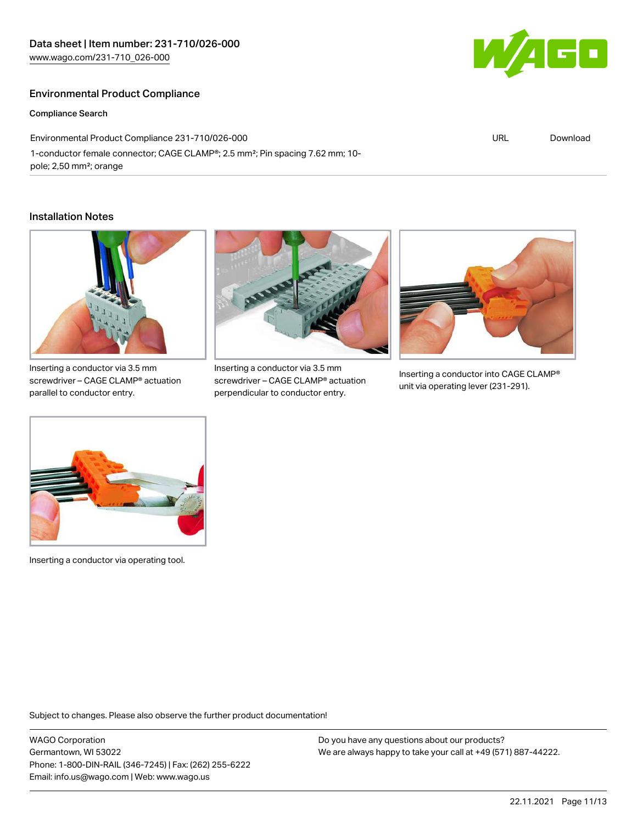### Environmental Product Compliance

Compliance Search

Environmental Product Compliance 231-710/026-000 1-conductor female connector; CAGE CLAMP®; 2.5 mm²; Pin spacing 7.62 mm; 10 pole; 2,50 mm²; orange

#### Installation Notes



Inserting a conductor via 3.5 mm screwdriver – CAGE CLAMP® actuation parallel to conductor entry.



Inserting a conductor via 3.5 mm screwdriver – CAGE CLAMP® actuation perpendicular to conductor entry.



Inserting a conductor into CAGE CLAMP® unit via operating lever (231-291).



Inserting a conductor via operating tool.

Subject to changes. Please also observe the further product documentation!

WAGO Corporation Germantown, WI 53022 Phone: 1-800-DIN-RAIL (346-7245) | Fax: (262) 255-6222 Email: info.us@wago.com | Web: www.wago.us

Do you have any questions about our products? We are always happy to take your call at +49 (571) 887-44222.



URL [Download](https://www.wago.com/global/d/ComplianceLinkMediaContainer_231-710_026-000)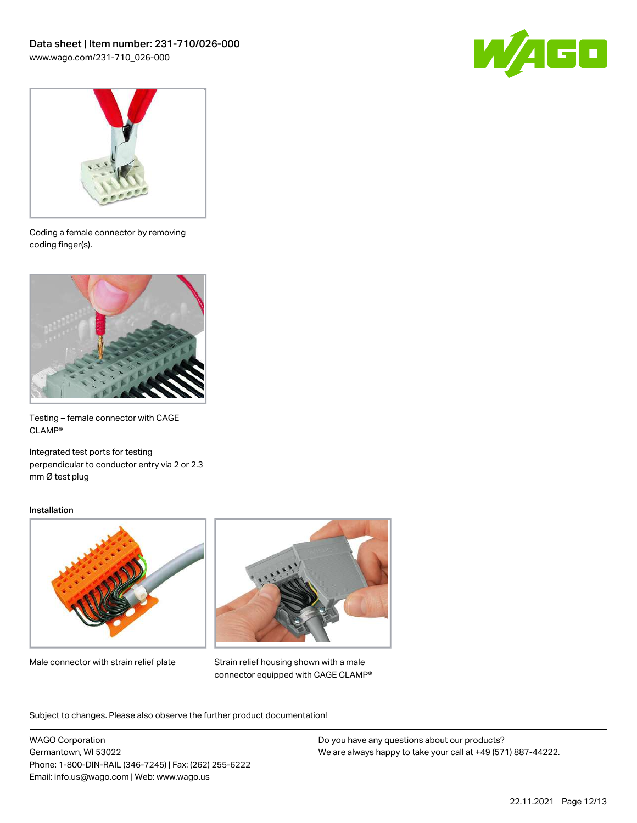



Coding a female connector by removing coding finger(s).



Testing – female connector with CAGE CLAMP®

Integrated test ports for testing perpendicular to conductor entry via 2 or 2.3 mm Ø test plug

#### Installation



Male connector with strain relief plate



Strain relief housing shown with a male connector equipped with CAGE CLAMP®

Subject to changes. Please also observe the further product documentation!

WAGO Corporation Germantown, WI 53022 Phone: 1-800-DIN-RAIL (346-7245) | Fax: (262) 255-6222 Email: info.us@wago.com | Web: www.wago.us